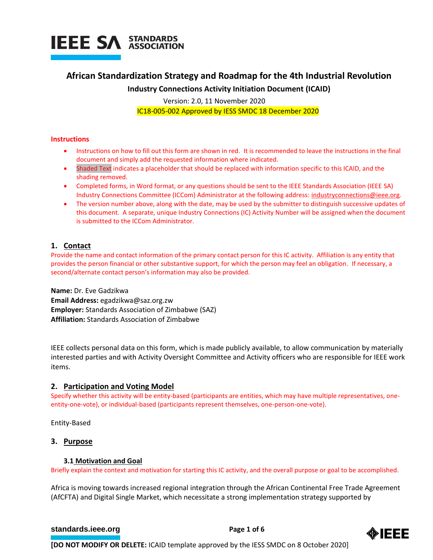

# **African Standardization Strategy and Roadmap for the 4th Industrial Revolution**

# **Industry Connections Activity Initiation Document (ICAID)**

Version: 2.0, 11 November 2020

IC18-005-002 Approved by IESS SMDC 18 December 2020

# **Instructions**

- Instructions on how to fill out this form are shown in red. It is recommended to leave the instructions in the final document and simply add the requested information where indicated.
- Shaded Text indicates a placeholder that should be replaced with information specific to this ICAID, and the shading removed.
- Completed forms, in Word format, or any questions should be sent to the IEEE Standards Association (IEEE SA) Industry Connections Committee (ICCom) Administrator at the following address: [industryconnections@ieee.org.](mailto:industryconnections@ieee.org)
- The version number above, along with the date, may be used by the submitter to distinguish successive updates of this document. A separate, unique Industry Connections (IC) Activity Number will be assigned when the document is submitted to the ICCom Administrator.

# **1. Contact**

Provide the name and contact information of the primary contact person for this IC activity. Affiliation is any entity that provides the person financial or other substantive support, for which the person may feel an obligation. If necessary, a second/alternate contact person's information may also be provided.

**Name:** Dr. Eve Gadzikwa **Email Address:** egadzikwa@saz.org.zw **Employer:** Standards Association of Zimbabwe (SAZ) **Affiliation:** Standards Association of Zimbabwe

IEEE collects personal data on this form, which is made publicly available, to allow communication by materially interested parties and with Activity Oversight Committee and Activity officers who are responsible for IEEE work items.

# **2. Participation and Voting Model**

Specify whether this activity will be entity-based (participants are entities, which may have multiple representatives, oneentity-one-vote), or individual-based (participants represent themselves, one-person-one-vote).

Entity-Based

# **3. Purpose**

# **3.1 Motivation and Goal**

Briefly explain the context and motivation for starting this IC activity, and the overall purpose or goal to be accomplished.

Africa is moving towards increased regional integration through the African Continental Free Trade Agreement (AfCFTA) and Digital Single Market, which necessitate a strong implementation strategy supported by

# **[standards.ieee.org](http://standards.ieee.org/) EXECUTE: Page 1 of 6**

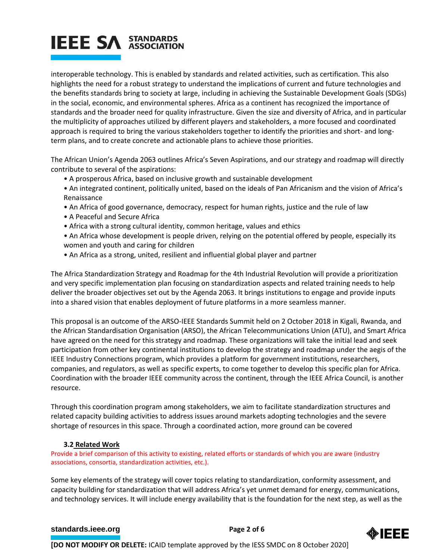# **IEEE SA STANDARDS**

interoperable technology. This is enabled by standards and related activities, such as certification. This also highlights the need for a robust strategy to understand the implications of current and future technologies and the benefits standards bring to society at large, including in achieving the Sustainable Development Goals (SDGs) in the social, economic, and environmental spheres. Africa as a continent has recognized the importance of standards and the broader need for quality infrastructure. Given the size and diversity of Africa, and in particular the multiplicity of approaches utilized by different players and stakeholders, a more focused and coordinated approach is required to bring the various stakeholders together to identify the priorities and short- and longterm plans, and to create concrete and actionable plans to achieve those priorities.

The African Union's Agenda 2063 outlines Africa's Seven Aspirations, and our strategy and roadmap will directly contribute to several of the aspirations:

- A prosperous Africa, based on inclusive growth and sustainable development
- An integrated continent, politically united, based on the ideals of Pan Africanism and the vision of Africa's Renaissance
- An Africa of good governance, democracy, respect for human rights, justice and the rule of law
- A Peaceful and Secure Africa
- Africa with a strong cultural identity, common heritage, values and ethics
- An Africa whose development is people driven, relying on the potential offered by people, especially its women and youth and caring for children
- An Africa as a strong, united, resilient and influential global player and partner

The Africa Standardization Strategy and Roadmap for the 4th Industrial Revolution will provide a prioritization and very specific implementation plan focusing on standardization aspects and related training needs to help deliver the broader objectives set out by the Agenda 2063. It brings institutions to engage and provide inputs into a shared vision that enables deployment of future platforms in a more seamless manner.

This proposal is an outcome of the ARSO-IEEE Standards Summit held on 2 October 2018 in Kigali, Rwanda, and the African Standardisation Organisation (ARSO), the African Telecommunications Union (ATU), and Smart Africa have agreed on the need for this strategy and roadmap. These organizations will take the initial lead and seek participation from other key continental institutions to develop the strategy and roadmap under the aegis of the IEEE Industry Connections program, which provides a platform for government institutions, researchers, companies, and regulators, as well as specific experts, to come together to develop this specific plan for Africa. Coordination with the broader IEEE community across the continent, through the IEEE Africa Council, is another resource.

Through this coordination program among stakeholders, we aim to facilitate standardization structures and related capacity building activities to address issues around markets adopting technologies and the severe shortage of resources in this space. Through a coordinated action, more ground can be covered

# **3.2 Related Work**

Provide a brief comparison of this activity to existing, related efforts or standards of which you are aware (industry associations, consortia, standardization activities, etc.).

Some key elements of the strategy will cover topics relating to standardization, conformity assessment, and capacity building for standardization that will address Africa's yet unmet demand for energy, communications, and technology services. It will include energy availability that is the foundation for the next step, as well as the

# **[standards.ieee.org](http://standards.ieee.org/) EXECUTE: Page 2 of 6**

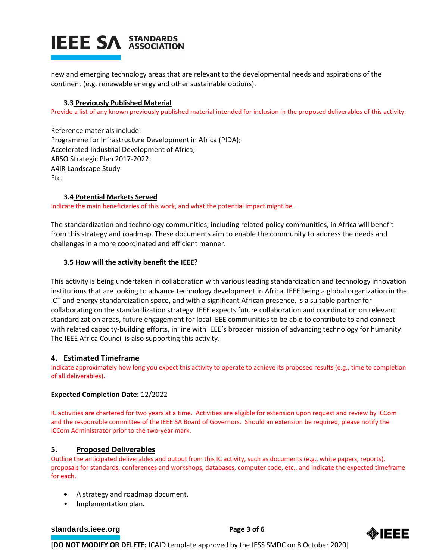

new and emerging technology areas that are relevant to the developmental needs and aspirations of the continent (e.g. renewable energy and other sustainable options).

# **3.3 Previously Published Material**

Provide a list of any known previously published material intended for inclusion in the proposed deliverables of this activity.

Reference materials include: Programme for Infrastructure Development in Africa (PIDA); Accelerated Industrial Development of Africa; ARSO Strategic Plan 2017-2022; A4IR Landscape Study Etc.

# **3.4 Potential Markets Served**

Indicate the main beneficiaries of this work, and what the potential impact might be.

The standardization and technology communities, including related policy communities, in Africa will benefit from this strategy and roadmap. These documents aim to enable the community to address the needs and challenges in a more coordinated and efficient manner.

# **3.5 How will the activity benefit the IEEE?**

This activity is being undertaken in collaboration with various leading standardization and technology innovation institutions that are looking to advance technology development in Africa. IEEE being a global organization in the ICT and energy standardization space, and with a significant African presence, is a suitable partner for collaborating on the standardization strategy. IEEE expects future collaboration and coordination on relevant standardization areas, future engagement for local IEEE communities to be able to contribute to and connect with related capacity-building efforts, in line with IEEE's broader mission of advancing technology for humanity. The IEEE Africa Council is also supporting this activity.

# **4. Estimated Timeframe**

Indicate approximately how long you expect this activity to operate to achieve its proposed results (e.g., time to completion of all deliverables).

# **Expected Completion Date:** 12/2022

IC activities are chartered for two years at a time. Activities are eligible for extension upon request and review by ICCom and the responsible committee of the IEEE SA Board of Governors. Should an extension be required, please notify the ICCom Administrator prior to the two-year mark.

# **5. Proposed Deliverables**

Outline the anticipated deliverables and output from this IC activity, such as documents (e.g., white papers, reports), proposals for standards, conferences and workshops, databases, computer code, etc., and indicate the expected timeframe for each.

- A strategy and roadmap document.
- Implementation plan.

# **[standards.ieee.org](http://standards.ieee.org/)**<br> **Page 3 of 6**

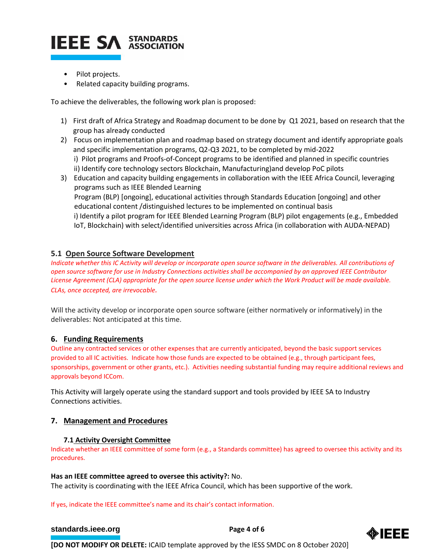

- Pilot projects.
- Related capacity building programs.

To achieve the deliverables, the following work plan is proposed:

- 1) First draft of Africa Strategy and Roadmap document to be done by Q1 2021, based on research that the group has already conducted
- 2) Focus on implementation plan and roadmap based on strategy document and identify appropriate goals and specific implementation programs, Q2-Q3 2021, to be completed by mid-2022 i) Pilot programs and Proofs-of-Concept programs to be identified and planned in specific countries ii) Identify core technology sectors Blockchain, Manufacturing)and develop PoC pilots
- 3) Education and capacity building engagements in collaboration with the IEEE Africa Council, leveraging programs such as IEEE Blended Learning Program (BLP) [ongoing], educational activities through Standards Education [ongoing] and other educational content /distinguished lectures to be implemented on continual basis i) Identify a pilot program for IEEE Blended Learning Program (BLP) pilot engagements (e.g., Embedded IoT, Blockchain) with select/identified universities across Africa (in collaboration with AUDA-NEPAD)

# **5.1 Open Source Software Development**

*Indicate whether this IC Activity will develop or incorporate open source software in the deliverables. All contributions of open source software for use in Industry Connections activities shall be accompanied by an approved IEEE Contributor License Agreement (CLA) appropriate for the open source license under which the Work Product will be made available. CLAs, once accepted, are irrevocable.*

Will the activity develop or incorporate open source software (either normatively or informatively) in the deliverables: Not anticipated at this time.

# **6. Funding Requirements**

Outline any contracted services or other expenses that are currently anticipated, beyond the basic support services provided to all IC activities. Indicate how those funds are expected to be obtained (e.g., through participant fees, sponsorships, government or other grants, etc.). Activities needing substantial funding may require additional reviews and approvals beyond ICCom.

This Activity will largely operate using the standard support and tools provided by IEEE SA to Industry Connections activities.

# **7. Management and Procedures**

# **7.1 Activity Oversight Committee**

Indicate whether an IEEE committee of some form (e.g., a Standards committee) has agreed to oversee this activity and its procedures.

# **Has an IEEE committee agreed to oversee this activity?:** No.

The activity is coordinating with the IEEE Africa Council, which has been supportive of the work.

If yes, indicate the IEEE committee's name and its chair's contact information.

# **[standards.ieee.org](http://standards.ieee.org/) EXECUTE: Page 4 of 6**

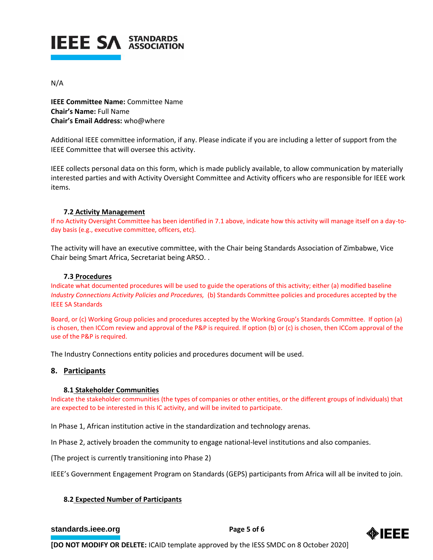

# N/A

**IEEE Committee Name:** Committee Name **Chair's Name:** Full Name **Chair's Email Address:** who@where

Additional IEEE committee information, if any. Please indicate if you are including a letter of support from the IEEE Committee that will oversee this activity.

IEEE collects personal data on this form, which is made publicly available, to allow communication by materially interested parties and with Activity Oversight Committee and Activity officers who are responsible for IEEE work items.

# **7.2 Activity Management**

If no Activity Oversight Committee has been identified in 7.1 above, indicate how this activity will manage itself on a day-today basis (e.g., executive committee, officers, etc).

The activity will have an executive committee, with the Chair being Standards Association of Zimbabwe, Vice Chair being Smart Africa, Secretariat being ARSO. .

# **7.3 Procedures**

Indicate what documented procedures will be used to guide the operations of this activity; either (a) modified baseline *Industry Connections Activity Policies and Procedures,* (b) Standards Committee policies and procedures accepted by the IEEE SA Standards

Board, or (c) Working Group policies and procedures accepted by the Working Group's Standards Committee. If option (a) is chosen, then ICCom review and approval of the P&P is required. If option (b) or (c) is chosen, then ICCom approval of the use of the P&P is required.

The Industry Connections entity policies and procedures document will be used.

# **8. Participants**

# **8.1 Stakeholder Communities**

Indicate the stakeholder communities (the types of companies or other entities, or the different groups of individuals) that are expected to be interested in this IC activity, and will be invited to participate.

In Phase 1, African institution active in the standardization and technology arenas.

In Phase 2, actively broaden the community to engage national-level institutions and also companies.

(The project is currently transitioning into Phase 2)

IEEE's Government Engagement Program on Standards (GEPS) participants from Africa will all be invited to join.

# **8.2 Expected Number of Participants**

# **[standards.ieee.org](http://standards.ieee.org/) EXECUTE: Page 5 of 6**